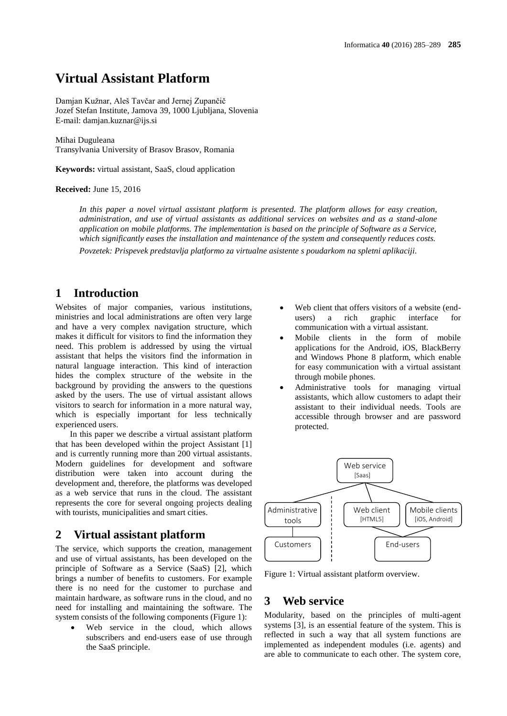# **Virtual Assistant Platform**

Damjan Kužnar, Aleš Tavčar and Jernej Zupančič Jozef Stefan Institute, Jamova 39, 1000 Ljubljana, Slovenia E-mail: damjan.kuznar@ijs.si

#### Mihai Duguleana

Transylvania University of Brasov Brasov, Romania

**Keywords:** virtual assistant, SaaS, cloud application

#### **Received:** June 15, 2016

*In this paper a novel virtual assistant platform is presented. The platform allows for easy creation, administration, and use of virtual assistants as additional services on websites and as a stand-alone application on mobile platforms. The implementation is based on the principle of Software as a Service, which significantly eases the installation and maintenance of the system and consequently reduces costs. Povzetek: Prispevek predstavlja platformo za virtualne asistente s poudarkom na spletni aplikaciji.*

# **1 Introduction**

Websites of major companies, various institutions, ministries and local administrations are often very large and have a very complex navigation structure, which makes it difficult for visitors to find the information they need. This problem is addressed by using the virtual assistant that helps the visitors find the information in natural language interaction. This kind of interaction hides the complex structure of the website in the background by providing the answers to the questions asked by the users. The use of virtual assistant allows visitors to search for information in a more natural way, which is especially important for less technically experienced users.

In this paper we describe a virtual assistant platform that has been developed within the project Assistant [1] and is currently running more than 200 virtual assistants. Modern guidelines for development and software distribution were taken into account during the development and, therefore, the platforms was developed as a web service that runs in the cloud. The assistant represents the core for several ongoing projects dealing with tourists, municipalities and smart cities.

# **2 Virtual assistant platform**

The service, which supports the creation, management and use of virtual assistants, has been developed on the principle of Software as a Service (SaaS) [2], which brings a number of benefits to customers. For example there is no need for the customer to purchase and maintain hardware, as software runs in the cloud, and no need for installing and maintaining the software. The system consists of the following components (Figure 1):

 Web service in the cloud, which allows subscribers and end-users ease of use through the SaaS principle.

- Web client that offers visitors of a website (endusers) a rich graphic interface for communication with a virtual assistant.
- Mobile clients in the form of mobile applications for the Android, iOS, BlackBerry and Windows Phone 8 platform, which enable for easy communication with a virtual assistant through mobile phones.
- Administrative tools for managing virtual assistants, which allow customers to adapt their assistant to their individual needs. Tools are accessible through browser and are password protected.



Figure 1: Virtual assistant platform overview.

## **3 Web service**

Modularity, based on the principles of multi-agent systems [3], is an essential feature of the system. This is reflected in such a way that all system functions are implemented as independent modules (i.e. agents) and are able to communicate to each other. The system core,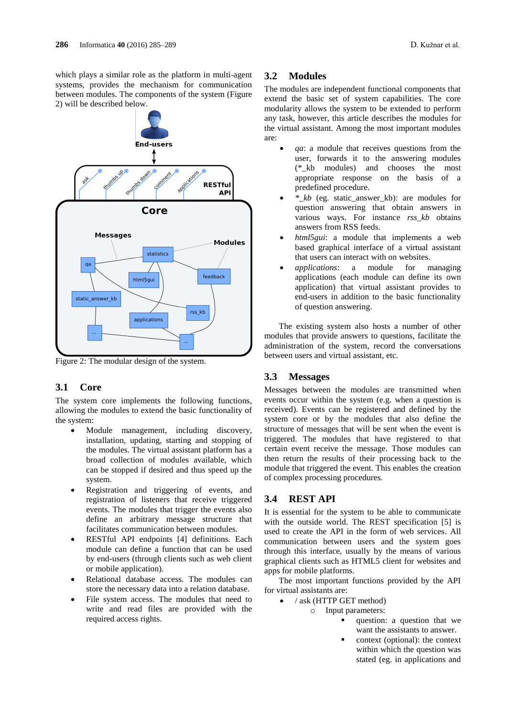which plays a similar role as the platform in multi-agent systems, provides the mechanism for communication between modules. The components of the system (Figure 2) will be described below.



Figure 2: The modular design of the system.

#### **3.1 Core**

The system core implements the following functions, allowing the modules to extend the basic functionality of the system:

- Module management, including discovery, installation, updating, starting and stopping of the modules. The virtual assistant platform has a broad collection of modules available, which can be stopped if desired and thus speed up the system.
- Registration and triggering of events, and registration of listeners that receive triggered events. The modules that trigger the events also define an arbitrary message structure that facilitates communication between modules.
- RESTful API endpoints [4] definitions. Each module can define a function that can be used by end-users (through clients such as web client or mobile application).
- Relational database access. The modules can store the necessary data into a relation database.
- File system access. The modules that need to write and read files are provided with the required access rights.

#### **3.2 Modules**

The modules are independent functional components that extend the basic set of system capabilities. The core modularity allows the system to be extended to perform any task, however, this article describes the modules for the virtual assistant. Among the most important modules are:

- *qa*: a module that receives questions from the user, forwards it to the answering modules (\*\_kb modules) and chooses the most appropriate response on the basis of a predefined procedure.
- *\*\_kb* (eg. static\_answer\_kb): are modules for question answering that obtain answers in various ways. For instance *rss\_kb* obtains answers from RSS feeds.
- *html5gui*: a module that implements a web based graphical interface of a virtual assistant that users can interact with on websites.
- *applications*: a module for managing applications (each module can define its own application) that virtual assistant provides to end-users in addition to the basic functionality of question answering.

The existing system also hosts a number of other modules that provide answers to questions, facilitate the administration of the system, record the conversations between users and virtual assistant, etc.

#### **3.3 Messages**

Messages between the modules are transmitted when events occur within the system (e.g. when a question is received). Events can be registered and defined by the system core or by the modules that also define the structure of messages that will be sent when the event is triggered. The modules that have registered to that certain event receive the message. Those modules can then return the results of their processing back to the module that triggered the event. This enables the creation of complex processing procedures.

#### **3.4 REST API**

It is essential for the system to be able to communicate with the outside world. The REST specification [5] is used to create the API in the form of web services. All communication between users and the system goes through this interface, usually by the means of various graphical clients such as HTML5 client for websites and apps for mobile platforms.

The most important functions provided by the API for virtual assistants are:

- / ask (HTTP GET method)
	- o Input parameters:
		- question: a question that we want the assistants to answer.
		- context (optional): the context within which the question was stated (eg. in applications and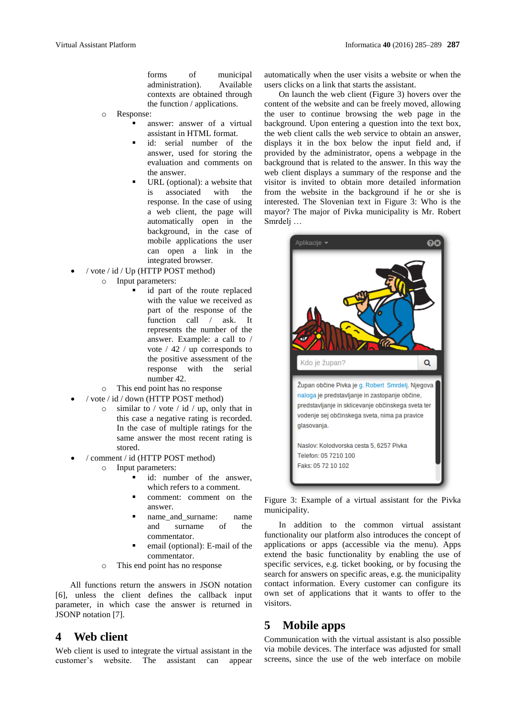forms of municipal administration). Available contexts are obtained through the function / applications.

- o Response:
	- answer: answer of a virtual assistant in HTML format.
		- id: serial number of the answer, used for storing the evaluation and comments on the answer.
	- URL (optional): a website that is associated with the response. In the case of using a web client, the page will automatically open in the background, in the case of mobile applications the user can open a link in the integrated browser.
- / vote / id / Up (HTTP POST method)
	- o Input parameters:
		- id part of the route replaced with the value we received as part of the response of the function call / ask. It represents the number of the answer. Example: a call to / vote / 42 / up corresponds to the positive assessment of the response with the serial number 42.
	- o This end point has no response
	- / vote / id / down (HTTP POST method)
		- $\circ$  similar to / vote / id / up, only that in this case a negative rating is recorded. In the case of multiple ratings for the same answer the most recent rating is stored.
- / comment / id (HTTP POST method)
	- o Input parameters:
		- id: number of the answer, which refers to a comment.
		- comment: comment on the answer.
		- name and surname: name and surname of the commentator.
		- email (optional): E-mail of the commentator.
	- o This end point has no response

All functions return the answers in JSON notation [6], unless the client defines the callback input parameter, in which case the answer is returned in JSONP notation [7].

### **4 Web client**

Web client is used to integrate the virtual assistant in the customer's website. The assistant can appear automatically when the user visits a website or when the users clicks on a link that starts the assistant.

On launch the web client (Figure 3) hovers over the content of the website and can be freely moved, allowing the user to continue browsing the web page in the background. Upon entering a question into the text box, the web client calls the web service to obtain an answer, displays it in the box below the input field and, if provided by the administrator, opens a webpage in the background that is related to the answer. In this way the web client displays a summary of the response and the visitor is invited to obtain more detailed information from the website in the background if he or she is interested. The Slovenian text in Figure 3: Who is the mayor? The major of Pivka municipality is Mr. Robert Smrdelj …



Figure 3: Example of a virtual assistant for the Pivka municipality.

In addition to the common virtual assistant functionality our platform also introduces the concept of applications or apps (accessible via the menu). Apps extend the basic functionality by enabling the use of specific services, e.g. ticket booking, or by focusing the search for answers on specific areas, e.g. the municipality contact information. Every customer can configure its own set of applications that it wants to offer to the visitors.

# **5 Mobile apps**

Communication with the virtual assistant is also possible via mobile devices. The interface was adjusted for small screens, since the use of the web interface on mobile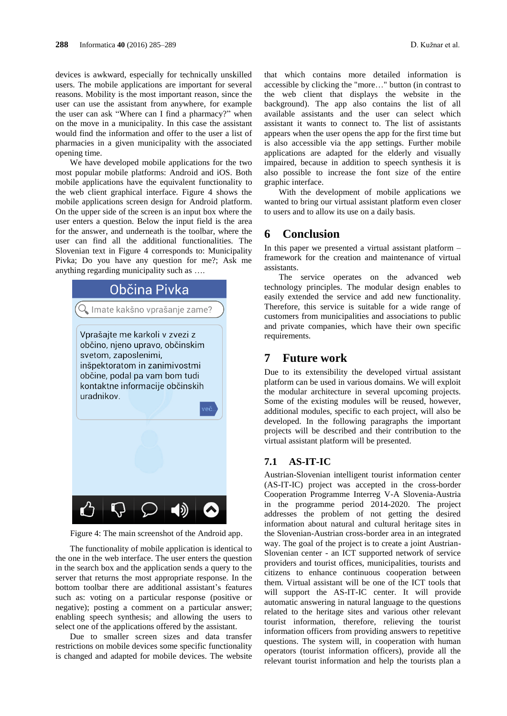devices is awkward, especially for technically unskilled users. The mobile applications are important for several reasons. Mobility is the most important reason, since the user can use the assistant from anywhere, for example the user can ask "Where can I find a pharmacy?" when on the move in a municipality. In this case the assistant would find the information and offer to the user a list of pharmacies in a given municipality with the associated opening time.

We have developed mobile applications for the two most popular mobile platforms: Android and iOS. Both mobile applications have the equivalent functionality to the web client graphical interface. Figure 4 shows the mobile applications screen design for Android platform. On the upper side of the screen is an input box where the user enters a question. Below the input field is the area for the answer, and underneath is the toolbar, where the user can find all the additional functionalities. The Slovenian text in Figure 4 corresponds to: Municipality Pivka; Do you have any question for me?; Ask me anything regarding municipality such as ….



Figure 4: The main screenshot of the Android app.

The functionality of mobile application is identical to the one in the web interface. The user enters the question in the search box and the application sends a query to the server that returns the most appropriate response. In the bottom toolbar there are additional assistant's features such as: voting on a particular response (positive or negative); posting a comment on a particular answer; enabling speech synthesis; and allowing the users to select one of the applications offered by the assistant.

Due to smaller screen sizes and data transfer restrictions on mobile devices some specific functionality is changed and adapted for mobile devices. The website

that which contains more detailed information is accessible by clicking the "more…" button (in contrast to the web client that displays the website in the background). The app also contains the list of all available assistants and the user can select which assistant it wants to connect to. The list of assistants appears when the user opens the app for the first time but is also accessible via the app settings. Further mobile applications are adapted for the elderly and visually impaired, because in addition to speech synthesis it is also possible to increase the font size of the entire graphic interface.

With the development of mobile applications we wanted to bring our virtual assistant platform even closer to users and to allow its use on a daily basis.

# **6 Conclusion**

In this paper we presented a virtual assistant platform – framework for the creation and maintenance of virtual assistants.

The service operates on the advanced web technology principles. The modular design enables to easily extended the service and add new functionality. Therefore, this service is suitable for a wide range of customers from municipalities and associations to public and private companies, which have their own specific requirements.

### **7 Future work**

Due to its extensibility the developed virtual assistant platform can be used in various domains. We will exploit the modular architecture in several upcoming projects. Some of the existing modules will be reused, however, additional modules, specific to each project, will also be developed. In the following paragraphs the important projects will be described and their contribution to the virtual assistant platform will be presented.

#### **7.1 AS-IT-IC**

Austrian-Slovenian intelligent tourist information center (AS-IT-IC) project was accepted in the cross-border Cooperation Programme Interreg V-A Slovenia-Austria in the programme period 2014-2020. The project addresses the problem of not getting the desired information about natural and cultural heritage sites in the Slovenian-Austrian cross-border area in an integrated way. The goal of the project is to create a joint Austrian-Slovenian center - an ICT supported network of service providers and tourist offices, municipalities, tourists and citizens to enhance continuous cooperation between them. Virtual assistant will be one of the ICT tools that will support the AS-IT-IC center. It will provide automatic answering in natural language to the questions related to the heritage sites and various other relevant tourist information, therefore, relieving the tourist information officers from providing answers to repetitive questions. The system will, in cooperation with human operators (tourist information officers), provide all the relevant tourist information and help the tourists plan a